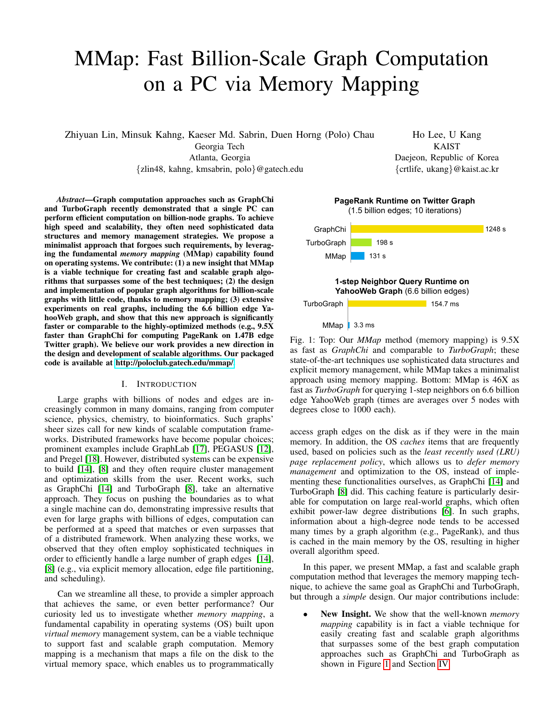# <span id="page-0-1"></span>MMap: Fast Billion-Scale Graph Computation on a PC via Memory Mapping

Zhiyuan Lin, Minsuk Kahng, Kaeser Md. Sabrin, Duen Horng (Polo) Chau Georgia Tech Atlanta, Georgia

{zlin48, kahng, kmsabrin, polo}@gatech.edu

Ho Lee, U Kang KAIST Daejeon, Republic of Korea {crtlife, ukang}@kaist.ac.kr

*Abstract*—Graph computation approaches such as GraphChi and TurboGraph recently demonstrated that a single PC can perform efficient computation on billion-node graphs. To achieve high speed and scalability, they often need sophisticated data structures and memory management strategies. We propose a minimalist approach that forgoes such requirements, by leveraging the fundamental *memory mapping* (MMap) capability found on operating systems. We contribute: (1) a new insight that MMap is a viable technique for creating fast and scalable graph algorithms that surpasses some of the best techniques; (2) the design and implementation of popular graph algorithms for billion-scale graphs with little code, thanks to memory mapping; (3) extensive experiments on real graphs, including the 6.6 billion edge YahooWeb graph, and show that this new approach is significantly faster or comparable to the highly-optimized methods (e.g., 9.5X faster than GraphChi for computing PageRank on 1.47B edge Twitter graph). We believe our work provides a new direction in the design and development of scalable algorithms. Our packaged code is available at [http://poloclub.gatech.edu/mmap/.](http://poloclub.gatech.edu/mmap/)

### I. INTRODUCTION

Large graphs with billions of nodes and edges are increasingly common in many domains, ranging from computer science, physics, chemistry, to bioinformatics. Such graphs' sheer sizes call for new kinds of scalable computation frameworks. Distributed frameworks have become popular choices; prominent examples include GraphLab [\[17\]](#page-5-0), PEGASUS [\[12\]](#page-5-1), and Pregel [\[18\]](#page-5-2). However, distributed systems can be expensive to build [\[14\]](#page-5-3), [\[8\]](#page-5-4) and they often require cluster management and optimization skills from the user. Recent works, such as GraphChi [\[14\]](#page-5-3) and TurboGraph [\[8\]](#page-5-4), take an alternative approach. They focus on pushing the boundaries as to what a single machine can do, demonstrating impressive results that even for large graphs with billions of edges, computation can be performed at a speed that matches or even surpasses that of a distributed framework. When analyzing these works, we observed that they often employ sophisticated techniques in order to efficiently handle a large number of graph edges [\[14\]](#page-5-3), [\[8\]](#page-5-4) (e.g., via explicit memory allocation, edge file partitioning, and scheduling). virtue the American memory negative and the controlling in the controlling in the controlling in the controlling in the controlling in the controlling in the controlling in the controlling in the controlling in the contro

Can we streamline all these, to provide a simpler approach that achieves the same, or even better performance? Our curiosity led us to investigate whether *memory mapping*, a fundamental capability in operating systems (OS) built upon *virtual memory* management system, can be a viable technique to support fast and scalable graph computation. Memory mapping is a mechanism that maps a file on the disk to the

<span id="page-0-0"></span>

Fig. 1: Top: Our *MMap* method (memory mapping) is 9.5X as fast as *GraphChi* and comparable to *TurboGraph*; these state-of-the-art techniques use sophisticated data structures and explicit memory management, while MMap takes a minimalist approach using memory mapping. Bottom: MMap is 46X as fast as *TurboGraph* for querying 1-step neighbors on 6.6 billion edge YahooWeb graph (times are averages over 5 nodes with degrees close to 1000 each).

access graph edges on the disk as if they were in the main memory. In addition, the OS *caches* items that are frequently used, based on policies such as the *least recently used (LRU) page replacement policy*, which allows us to *defer memory management* and optimization to the OS, instead of implementing these functionalities ourselves, as GraphChi [\[14\]](#page-5-3) and TurboGraph [\[8\]](#page-5-4) did. This caching feature is particularly desirable for computation on large real-world graphs, which often exhibit power-law degree distributions [\[6\]](#page-5-5). In such graphs, information about a high-degree node tends to be accessed many times by a graph algorithm (e.g., PageRank), and thus is cached in the main memory by the OS, resulting in higher overall algorithm speed.

In this paper, we present MMap, a fast and scalable graph computation method that leverages the memory mapping technique, to achieve the same goal as GraphChi and TurboGraph, but through a *simple* design. Our major contributions include:

• New Insight. We show that the well-known *memory mapping* capability is in fact a viable technique for easily creating fast and scalable graph algorithms that surpasses some of the best graph computation approaches such as GraphChi and TurboGraph as shown in Figure [1](#page-0-0) and Section [IV.](#page-2-0)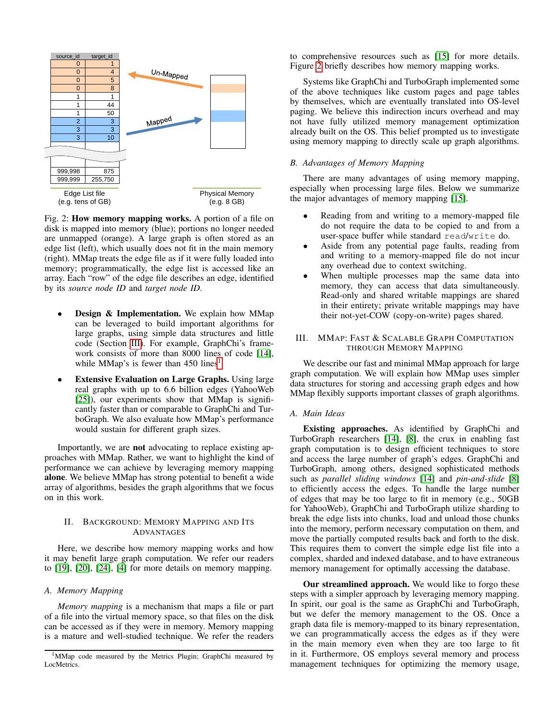<span id="page-1-1"></span>

Fig. 2: How memory mapping works. A portion of a file on disk is mapped into memory (blue); portions no longer needed are unmapped (orange). A large graph is often stored as an edge list (left), which usually does not fit in the main memory (right). MMap treats the edge file as if it were fully loaded into memory; programmatically, the edge list is accessed like an array. Each "row" of the edge file describes an edge, identified by its *source node ID* and *target node ID*.

- **Design & Implementation.** We explain how MMap can be leveraged to build important algorithms for large graphs, using simple data structures and little code (Section [III\)](#page-1-0). For example, GraphChi's framework consists of more than 8000 lines of code [\[14\]](#page-5-3), while MMap's is fewer than  $450$  lines<sup>[1](#page-0-1)</sup>.
- **Extensive Evaluation on Large Graphs.** Using large real graphs with up to 6.6 billion edges (YahooWeb [\[25\]](#page-5-6)), our experiments show that MMap is significantly faster than or comparable to GraphChi and TurboGraph. We also evaluate how MMap's performance would sustain for different graph sizes.

Importantly, we are not advocating to replace existing approaches with MMap. Rather, we want to highlight the kind of performance we can achieve by leveraging memory mapping alone. We believe MMap has strong potential to benefit a wide array of algorithms, besides the graph algorithms that we focus on in this work.

# II. BACKGROUND: MEMORY MAPPING AND ITS ADVANTAGES

Here, we describe how memory mapping works and how it may benefit large graph computation. We refer our readers to [\[19\]](#page-5-7), [\[20\]](#page-5-8), [\[24\]](#page-5-9), [\[4\]](#page-5-10) for more details on memory mapping.

# *A. Memory Mapping*

*Memory mapping* is a mechanism that maps a file or part of a file into the virtual memory space, so that files on the disk can be accessed as if they were in memory. Memory mapping is a mature and well-studied technique. We refer the readers to comprehensive resources such as [\[15\]](#page-5-11) for more details. Figure [2](#page-1-1) briefly describes how memory mapping works.

Systems like GraphChi and TurboGraph implemented some of the above techniques like custom pages and page tables by themselves, which are eventually translated into OS-level paging. We believe this indirection incurs overhead and may not have fully utilized memory management optimization already built on the OS. This belief prompted us to investigate using memory mapping to directly scale up graph algorithms.

### *B. Advantages of Memory Mapping*

There are many advantages of using memory mapping, especially when processing large files. Below we summarize the major advantages of memory mapping [\[15\]](#page-5-11).

- Reading from and writing to a memory-mapped file do not require the data to be copied to and from a user-space buffer while standard read/write do.
- Aside from any potential page faults, reading from and writing to a memory-mapped file do not incur any overhead due to context switching.
- When multiple processes map the same data into memory, they can access that data simultaneously. Read-only and shared writable mappings are shared in their entirety; private writable mappings may have their not-yet-COW (copy-on-write) pages shared.

## <span id="page-1-0"></span>III. MMAP: FAST & SCALABLE GRAPH COMPUTATION THROUGH MEMORY MAPPING

We describe our fast and minimal MMap approach for large graph computation. We will explain how MMap uses simpler data structures for storing and accessing graph edges and how MMap flexibly supports important classes of graph algorithms.

#### *A. Main Ideas*

Existing approaches. As identified by GraphChi and TurboGraph researchers [\[14\]](#page-5-3), [\[8\]](#page-5-4), the crux in enabling fast graph computation is to design efficient techniques to store and access the large number of graph's edges. GraphChi and TurboGraph, among others, designed sophisticated methods such as *parallel sliding windows* [\[14\]](#page-5-3) and *pin-and-slide* [\[8\]](#page-5-4) to efficiently access the edges. To handle the large number of edges that may be too large to fit in memory (e.g., 50GB for YahooWeb), GraphChi and TurboGraph utilize sharding to break the edge lists into chunks, load and unload those chunks into the memory, perform necessary computation on them, and move the partially computed results back and forth to the disk. This requires them to convert the simple edge list file into a complex, sharded and indexed database, and to have extraneous memory management for optimally accessing the database.

Our streamlined approach. We would like to forgo these steps with a simpler approach by leveraging memory mapping. In spirit, our goal is the same as GraphChi and TurboGraph, but we defer the memory management to the OS. Once a graph data file is memory-mapped to its binary representation, we can programmatically access the edges as if they were in the main memory even when they are too large to fit in it. Furthermore, OS employs several memory and process management techniques for optimizing the memory usage,

<sup>&</sup>lt;sup>1</sup>MMap code measured by the Metrics Plugin; GraphChi measured by LocMetrics.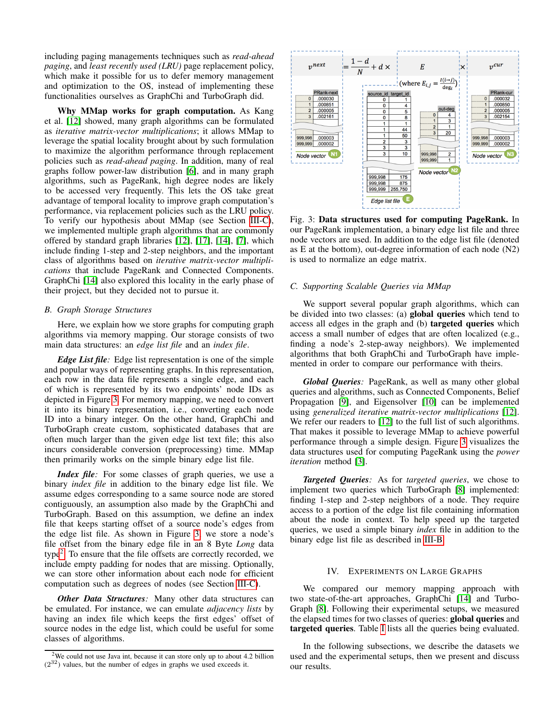including paging managements techniques such as *read-ahead paging*, and *least recently used (LRU)* page replacement policy, which make it possible for us to defer memory management and optimization to the OS, instead of implementing these functionalities ourselves as GraphChi and TurboGraph did.

Why MMap works for graph computation. As Kang et al. [\[12\]](#page-5-1) showed, many graph algorithms can be formulated as *iterative matrix-vector multiplications*; it allows MMap to leverage the spatial locality brought about by such formulation to maximize the algorithm performance through replacement policies such as *read-ahead paging*. In addition, many of real graphs follow power-law distribution [\[6\]](#page-5-5), and in many graph algorithms, such as PageRank, high degree nodes are likely to be accessed very frequently. This lets the OS take great advantage of temporal locality to improve graph computation's performance, via replacement policies such as the LRU policy. To verify our hypothesis about MMap (see Section [III-C\)](#page-2-1), we implemented multiple graph algorithms that are commonly offered by standard graph libraries [\[12\]](#page-5-1), [\[17\]](#page-5-0), [\[14\]](#page-5-3), [\[7\]](#page-5-12), which include finding 1-step and 2-step neighbors, and the important class of algorithms based on *iterative matrix-vector multiplications* that include PageRank and Connected Components. GraphChi [\[14\]](#page-5-3) also explored this locality in the early phase of their project, but they decided not to pursue it.

# *B. Graph Storage Structures*

Here, we explain how we store graphs for computing graph algorithms via memory mapping. Our storage consists of two main data structures: an *edge list file* and an *index file*.

*Edge List file:* Edge list representation is one of the simple and popular ways of representing graphs. In this representation, each row in the data file represents a single edge, and each of which is represented by its two endpoints' node IDs as depicted in Figure [3.](#page-2-2) For memory mapping, we need to convert it into its binary representation, i.e., converting each node ID into a binary integer. On the other hand, GraphChi and TurboGraph create custom, sophisticated databases that are often much larger than the given edge list text file; this also incurs considerable conversion (preprocessing) time. MMap then primarily works on the simple binary edge list file.

<span id="page-2-3"></span>*Index file*: For some classes of graph queries, we use a binary *index file* in addition to the binary edge list file. We assume edges corresponding to a same source node are stored contiguously, an assumption also made by the GraphChi and TurboGraph. Based on this assumption, we define an index file that keeps starting offset of a source node's edges from the edge list file. As shown in Figure [3,](#page-2-2) we store a node's file offset from the binary edge file in an 8 Byte *Long* data type<sup>[2](#page-0-1)</sup>. To ensure that the file offsets are correctly recorded, we include empty padding for nodes that are missing. Optionally, we can store other information about each node for efficient computation such as degrees of nodes (see Section [III-C\)](#page-2-1).

*Other Data Structures:* Many other data structures can be emulated. For instance, we can emulate *adjacency lists* by having an index file which keeps the first edges' offset of source nodes in the edge list, which could be useful for some classes of algorithms.

<span id="page-2-2"></span>

Fig. 3: Data structures used for computing PageRank. In our PageRank implementation, a binary edge list file and three node vectors are used. In addition to the edge list file (denoted as E at the bottom), out-degree information of each node (N2) is used to normalize an edge matrix.

# <span id="page-2-1"></span>*C. Supporting Scalable Queries via MMap*

We support several popular graph algorithms, which can be divided into two classes: (a) **global queries** which tend to access all edges in the graph and (b) targeted queries which access a small number of edges that are often localized (e.g., finding a node's 2-step-away neighbors). We implemented algorithms that both GraphChi and TurboGraph have implemented in order to compare our performance with theirs.

*Global Queries:* PageRank, as well as many other global queries and algorithms, such as Connected Components, Belief Propagation [\[9\]](#page-5-13), and Eigensolver [\[10\]](#page-5-14) can be implemented using *generalized iterative matrix-vector multiplications* [\[12\]](#page-5-1). We refer our readers to [\[12\]](#page-5-1) to the full list of such algorithms. That makes it possible to leverage MMap to achieve powerful performance through a simple design. Figure [3](#page-2-2) visualizes the data structures used for computing PageRank using the *power iteration* method [\[3\]](#page-5-15).

*Targeted Queries:* As for *targeted queries*, we chose to implement two queries which TurboGraph [\[8\]](#page-5-4) implemented: finding 1-step and 2-step neighbors of a node. They require access to a portion of the edge list file containing information about the node in context. To help speed up the targeted queries, we used a simple binary *index* file in addition to the binary edge list file as described in [III-B.](#page-2-3)

## IV. EXPERIMENTS ON LARGE GRAPHS

<span id="page-2-0"></span>We compared our memory mapping approach with two state-of-the-art approaches, GraphChi [\[14\]](#page-5-3) and Turbo-Graph [\[8\]](#page-5-4). Following their experimental setups, we measured the elapsed times for two classes of queries: global queries and targeted queries. Table [I](#page-3-0) lists all the queries being evaluated.

In the following subsections, we describe the datasets we used and the experimental setups, then we present and discuss our results.

 $2$ We could not use Java int, because it can store only up to about 4.2 billion  $(2^{32})$  values, but the number of edges in graphs we used exceeds it.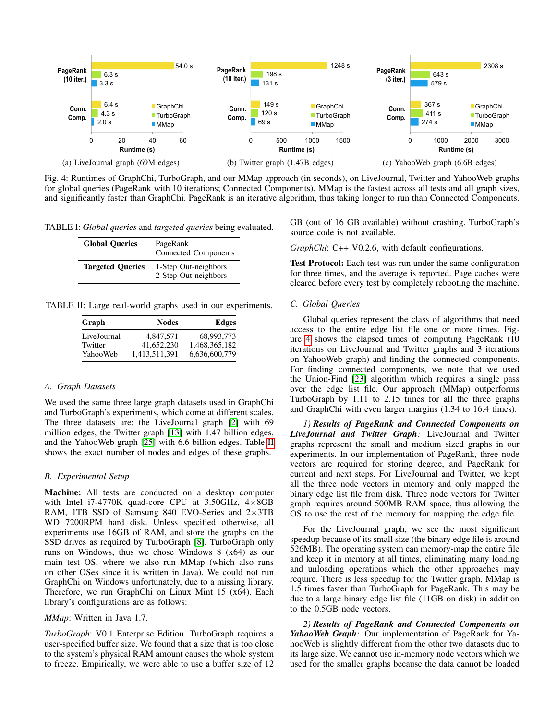<span id="page-3-2"></span>

Fig. 4: Runtimes of GraphChi, TurboGraph, and our MMap approach (in seconds), on LiveJournal, Twitter and YahooWeb graphs for global queries (PageRank with 10 iterations; Connected Components). MMap is the fastest across all tests and all graph sizes, and significantly faster than GraphChi. PageRank is an iterative algorithm, thus taking longer to run than Connected Components.

<span id="page-3-0"></span>TABLE I: *Global queries* and *targeted queries* being evaluated.

| <b>Global Queries</b>   | PageRank<br><b>Connected Components</b>      |
|-------------------------|----------------------------------------------|
| <b>Targeted Queries</b> | 1-Step Out-neighbors<br>2-Step Out-neighbors |

<span id="page-3-1"></span>TABLE II: Large real-world graphs used in our experiments.

| Graph       | <b>Nodes</b>  | <b>Edges</b>  |
|-------------|---------------|---------------|
| LiveJournal | 4.847.571     | 68.993.773    |
| Twitter     | 41.652.230    | 1,468,365,182 |
| YahooWeb    | 1.413.511.391 | 6,636,600,779 |

#### *A. Graph Datasets*

We used the same three large graph datasets used in GraphChi and TurboGraph's experiments, which come at different scales. The three datasets are: the LiveJournal graph [\[2\]](#page-5-16) with 69 million edges, the Twitter graph [\[13\]](#page-5-17) with 1.47 billion edges, and the YahooWeb graph [\[25\]](#page-5-6) with 6.6 billion edges. Table [II](#page-3-1) shows the exact number of nodes and edges of these graphs.

#### *B. Experimental Setup*

Machine: All tests are conducted on a desktop computer with Intel i7-4770K quad-core CPU at 3.50GHz,  $4 \times 8$ GB RAM, 1TB SSD of Samsung 840 EVO-Series and  $2\times3TB$ WD 7200RPM hard disk. Unless specified otherwise, all experiments use 16GB of RAM, and store the graphs on the SSD drives as required by TurboGraph [\[8\]](#page-5-4). TurboGraph only runs on Windows, thus we chose Windows 8 (x64) as our main test OS, where we also run MMap (which also runs on other OSes since it is written in Java). We could not run GraphChi on Windows unfortunately, due to a missing library. Therefore, we run GraphChi on Linux Mint 15 (x64). Each library's configurations are as follows:

*MMap*: Written in Java 1.7.

*TurboGraph*: V0.1 Enterprise Edition. TurboGraph requires a user-specified buffer size. We found that a size that is too close to the system's physical RAM amount causes the whole system to freeze. Empirically, we were able to use a buffer size of 12 GB (out of 16 GB available) without crashing. TurboGraph's source code is not available.

*GraphChi*: C++ V0.2.6, with default configurations.

Test Protocol: Each test was run under the same configuration for three times, and the average is reported. Page caches were cleared before every test by completely rebooting the machine.

#### *C. Global Queries*

Global queries represent the class of algorithms that need access to the entire edge list file one or more times. Figure [4](#page-3-2) shows the elapsed times of computing PageRank (10 iterations on LiveJournal and Twitter graphs and 3 iterations on YahooWeb graph) and finding the connected components. For finding connected components, we note that we used the Union-Find [\[23\]](#page-5-18) algorithm which requires a single pass over the edge list file. Our approach (MMap) outperforms TurboGraph by 1.11 to 2.15 times for all the three graphs and GraphChi with even larger margins (1.34 to 16.4 times).

*1) Results of PageRank and Connected Components on LiveJournal and Twitter Graph:* LiveJournal and Twitter graphs represent the small and medium sized graphs in our experiments. In our implementation of PageRank, three node vectors are required for storing degree, and PageRank for current and next steps. For LiveJournal and Twitter, we kept all the three node vectors in memory and only mapped the binary edge list file from disk. Three node vectors for Twitter graph requires around 500MB RAM space, thus allowing the OS to use the rest of the memory for mapping the edge file.

For the LiveJournal graph, we see the most significant speedup because of its small size (the binary edge file is around 526MB). The operating system can memory-map the entire file and keep it in memory at all times, eliminating many loading and unloading operations which the other approaches may require. There is less speedup for the Twitter graph. MMap is 1.5 times faster than TurboGraph for PageRank. This may be due to a large binary edge list file (11GB on disk) in addition to the 0.5GB node vectors.

*2) Results of PageRank and Connected Components on YahooWeb Graph:* Our implementation of PageRank for YahooWeb is slightly different from the other two datasets due to its large size. We cannot use in-memory node vectors which we used for the smaller graphs because the data cannot be loaded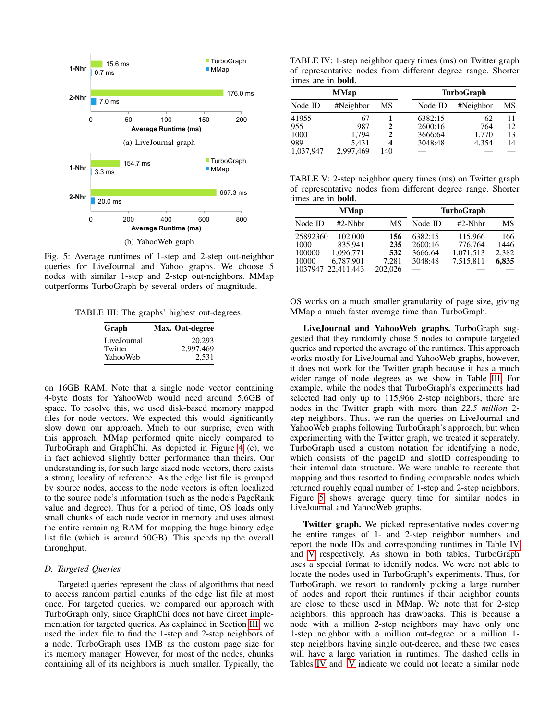<span id="page-4-1"></span>

Fig. 5: Average runtimes of 1-step and 2-step out-neighbor queries for LiveJournal and Yahoo graphs. We choose 5 nodes with similar 1-step and 2-step out-neighbors. MMap outperforms TurboGraph by several orders of magnitude.

<span id="page-4-0"></span>TABLE III: The graphs' highest out-degrees.

| Graph       | Max. Out-degree |
|-------------|-----------------|
| LiveJournal | 20.293          |
| Twitter     | 2,997,469       |
| YahooWeb    | 2,531           |

on 16GB RAM. Note that a single node vector containing 4-byte floats for YahooWeb would need around 5.6GB of space. To resolve this, we used disk-based memory mapped files for node vectors. We expected this would significantly slow down our approach. Much to our surprise, even with this approach, MMap performed quite nicely compared to TurboGraph and GraphChi. As depicted in Figure [4](#page-3-2) (c), we in fact achieved slightly better performance than theirs. Our understanding is, for such large sized node vectors, there exists a strong locality of reference. As the edge list file is grouped by source nodes, access to the node vectors is often localized to the source node's information (such as the node's PageRank value and degree). Thus for a period of time, OS loads only small chunks of each node vector in memory and uses almost the entire remaining RAM for mapping the huge binary edge list file (which is around 50GB). This speeds up the overall throughput.

## *D. Targeted Queries*

Targeted queries represent the class of algorithms that need to access random partial chunks of the edge list file at most once. For targeted queries, we compared our approach with TurboGraph only, since GraphChi does not have direct implementation for targeted queries. As explained in Section [III,](#page-1-0) we used the index file to find the 1-step and 2-step neighbors of a node. TurboGraph uses 1MB as the custom page size for its memory manager. However, for most of the nodes, chunks containing all of its neighbors is much smaller. Typically, the

<span id="page-4-2"></span>TABLE IV: 1-step neighbor query times (ms) on Twitter graph of representative nodes from different degree range. Shorter times are in bold.

| <b>MMap</b> |           |     | <b>TurboGraph</b> |           |    |
|-------------|-----------|-----|-------------------|-----------|----|
| Node ID     | #Neighbor | МS  | Node ID           | #Neighbor | MS |
| 41955       | 67        |     | 6382:15           | 62        | 11 |
| 955         | 987       |     | 2600:16           | 764       | 12 |
| 1000        | 1,794     |     | 3666:64           | 1,770     | 13 |
| 989         | 5,431     | 4   | 3048:48           | 4,354     | 14 |
| 1,037,947   | 2,997,469 | 140 |                   |           |    |

<span id="page-4-3"></span>TABLE V: 2-step neighbor query times (ms) on Twitter graph of representative nodes from different degree range. Shorter times are in bold.

| <b>MMap</b>                                    |                                                            | <b>TurboGraph</b>                     |                                                                      |                                              |                               |
|------------------------------------------------|------------------------------------------------------------|---------------------------------------|----------------------------------------------------------------------|----------------------------------------------|-------------------------------|
| Node ID                                        | $#2-Nhbr$                                                  | МS                                    | Node ID                                                              | $#2-Nhbr$                                    | MS                            |
| 25892360<br>1000<br>100000<br>10000<br>1037947 | 102,000<br>835,941<br>1.096.771<br>6.787.901<br>22.411.443 | 156<br>235<br>532<br>7.281<br>202,026 | 6382:15<br>2600:16<br>3666:64<br>3048:48<br>$\overline{\phantom{0}}$ | 115,966<br>776,764<br>1,071,513<br>7.515.811 | 166<br>1446<br>2,382<br>6,835 |

OS works on a much smaller granularity of page size, giving MMap a much faster average time than TurboGraph.

LiveJournal and YahooWeb graphs. TurboGraph suggested that they randomly chose 5 nodes to compute targeted queries and reported the average of the runtimes. This approach works mostly for LiveJournal and YahooWeb graphs, however, it does not work for the Twitter graph because it has a much wider range of node degrees as we show in Table [III.](#page-4-0) For example, while the nodes that TurboGraph's experiments had selected had only up to 115,966 2-step neighbors, there are nodes in the Twitter graph with more than *22.5 million* 2 step neighbors. Thus, we ran the queries on LiveJournal and YahooWeb graphs following TurboGraph's approach, but when experimenting with the Twitter graph, we treated it separately. TurboGraph used a custom notation for identifying a node, which consists of the pageID and slotID corresponding to their internal data structure. We were unable to recreate that mapping and thus resorted to finding comparable nodes which returned roughly equal number of 1-step and 2-step neighbors. Figure [5](#page-4-1) shows average query time for similar nodes in LiveJournal and YahooWeb graphs.

Twitter graph. We picked representative nodes covering the entire ranges of 1- and 2-step neighbor numbers and report the node IDs and corresponding runtimes in Table [IV](#page-4-2) and [V](#page-4-3) respectively. As shown in both tables, TurboGraph uses a special format to identify nodes. We were not able to locate the nodes used in TurboGraph's experiments. Thus, for TurboGraph, we resort to randomly picking a large number of nodes and report their runtimes if their neighbor counts are close to those used in MMap. We note that for 2-step neighbors, this approach has drawbacks. This is because a node with a million 2-step neighbors may have only one 1-step neighbor with a million out-degree or a million 1 step neighbors having single out-degree, and these two cases will have a large variation in runtimes. The dashed cells in Tables [IV](#page-4-2) and [V](#page-4-3) indicate we could not locate a similar node